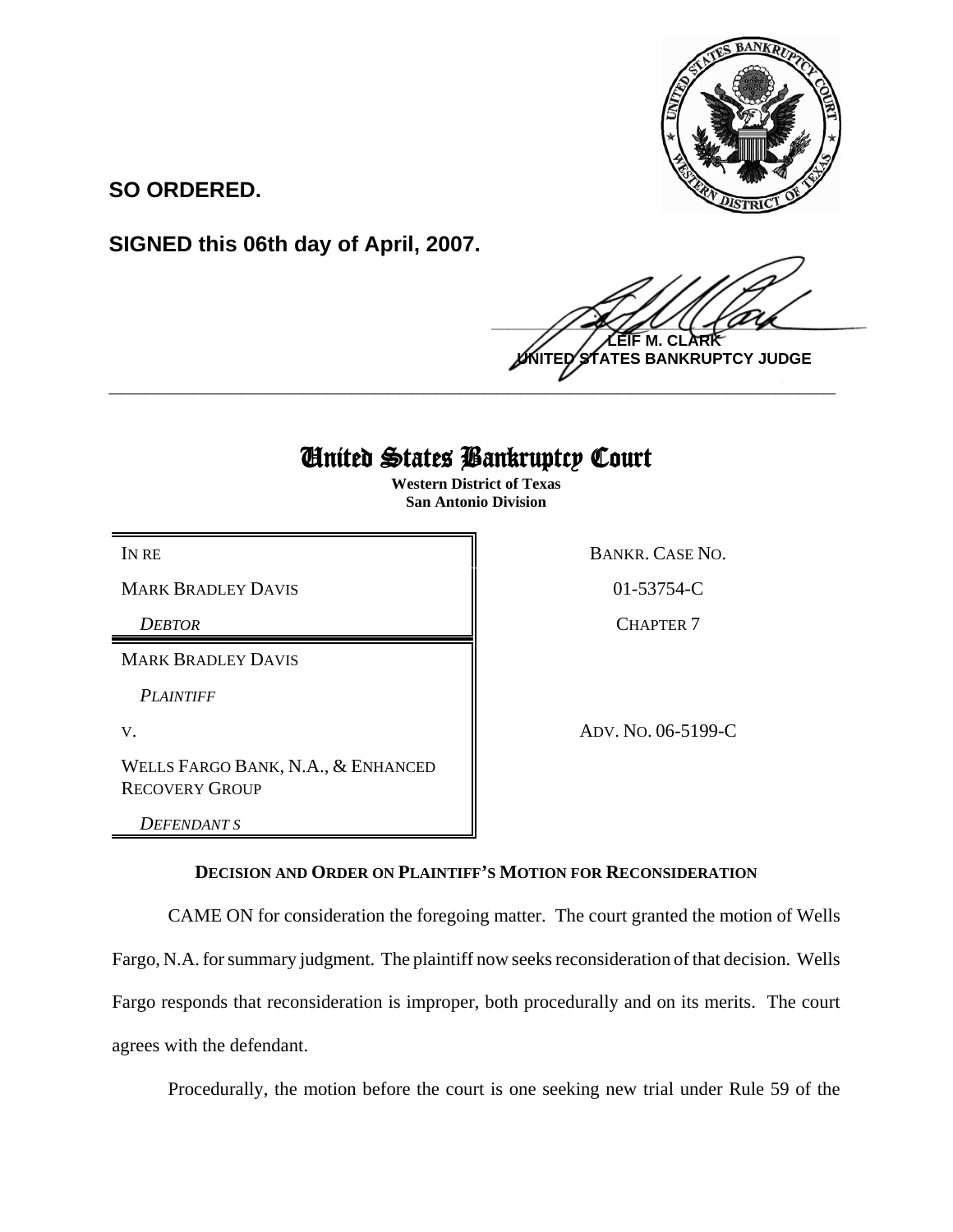

**SO ORDERED.**

**SIGNED this 06th day of April, 2007.**

 $\frac{1}{2}$ **M. NTES BANKRUPTCY JUDGE \_\_\_\_\_\_\_\_\_\_\_\_\_\_\_\_\_\_\_\_\_\_\_\_\_\_\_\_\_\_\_\_\_\_\_\_\_\_\_\_\_\_\_\_\_\_\_\_\_\_\_\_\_\_\_\_\_\_\_\_**

## United States Bankruptcy Court

**Western District of Texas San Antonio Division**

MARK BRADLEY DAVIS 8 8 01-53754-C

*DEBTOR* CHAPTER 7

MARK BRADLEY DAVIS

*PLAINTIFF* 

WELLS FARGO BANK, N.A., & ENHANCED RECOVERY GROUP

*DEFENDANT S*

IN RE BANKR. CASE NO.

V. ADV. NO. 06-5199-C

## **DECISION AND ORDER ON PLAINTIFF'S MOTION FOR RECONSIDERATION**

CAME ON for consideration the foregoing matter. The court granted the motion of Wells Fargo, N.A. for summary judgment. The plaintiff now seeks reconsideration of that decision. Wells Fargo responds that reconsideration is improper, both procedurally and on its merits. The court agrees with the defendant.

Procedurally, the motion before the court is one seeking new trial under Rule 59 of the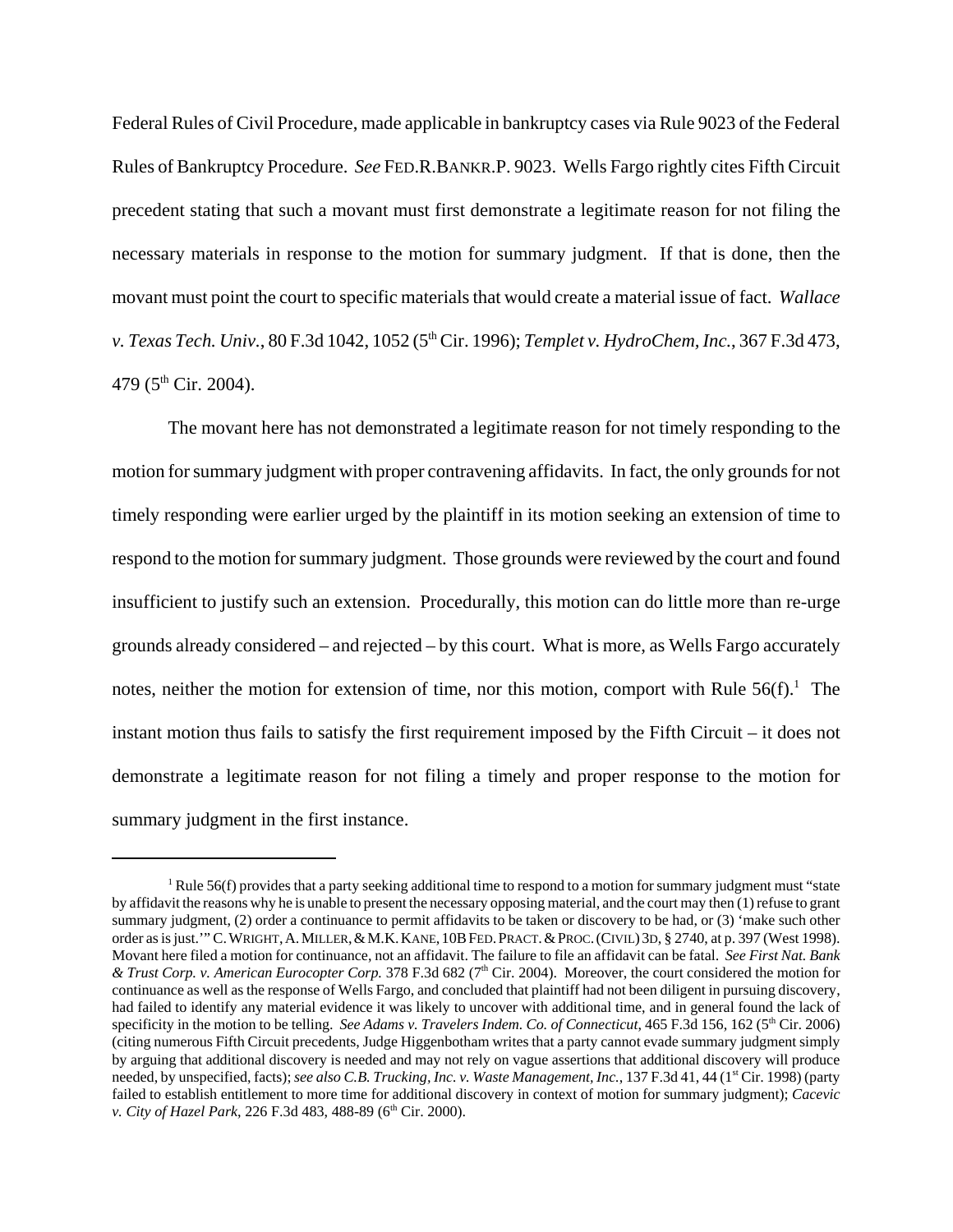Federal Rules of Civil Procedure, made applicable in bankruptcy cases via Rule 9023 of the Federal Rules of Bankruptcy Procedure. *See* FED.R.BANKR.P. 9023. Wells Fargo rightly cites Fifth Circuit precedent stating that such a movant must first demonstrate a legitimate reason for not filing the necessary materials in response to the motion for summary judgment. If that is done, then the movant must point the court to specific materials that would create a material issue of fact. *Wallace v. Texas Tech. Univ.*, 80 F.3d 1042, 1052 (5th Cir. 1996); *Templet v. HydroChem, Inc.*, 367 F.3d 473, 479 ( $5<sup>th</sup>$  Cir. 2004).

The movant here has not demonstrated a legitimate reason for not timely responding to the motion for summary judgment with proper contravening affidavits. In fact, the only grounds for not timely responding were earlier urged by the plaintiff in its motion seeking an extension of time to respond to the motion for summary judgment. Those grounds were reviewed by the court and found insufficient to justify such an extension. Procedurally, this motion can do little more than re-urge grounds already considered – and rejected – by this court. What is more, as Wells Fargo accurately notes, neither the motion for extension of time, nor this motion, comport with Rule  $56(f)$ .<sup>1</sup> The instant motion thus fails to satisfy the first requirement imposed by the Fifth Circuit – it does not demonstrate a legitimate reason for not filing a timely and proper response to the motion for summary judgment in the first instance.

<sup>&</sup>lt;sup>1</sup> Rule 56(f) provides that a party seeking additional time to respond to a motion for summary judgment must "state by affidavit the reasons why he is unable to present the necessary opposing material, and the court may then (1) refuse to grant summary judgment, (2) order a continuance to permit affidavits to be taken or discovery to be had, or (3) 'make such other order as is just.'" C.WRIGHT,A.MILLER,&M.K.KANE,10BFED.PRACT.&PROC.(CIVIL) 3D, § 2740, at p. 397 (West 1998). Movant here filed a motion for continuance, not an affidavit. The failure to file an affidavit can be fatal. *See First Nat. Bank & Trust Corp. v. American Eurocopter Corp.* 378 F.3d 682 (7th Cir. 2004). Moreover, the court considered the motion for continuance as well as the response of Wells Fargo, and concluded that plaintiff had not been diligent in pursuing discovery, had failed to identify any material evidence it was likely to uncover with additional time, and in general found the lack of specificity in the motion to be telling. *See Adams v. Travelers Indem. Co. of Connecticut*, 465 F.3d 156, 162 (5<sup>th</sup> Cir. 2006) (citing numerous Fifth Circuit precedents, Judge Higgenbotham writes that a party cannot evade summary judgment simply by arguing that additional discovery is needed and may not rely on vague assertions that additional discovery will produce needed, by unspecified, facts); *see also C.B. Trucking, Inc. v. Waste Management, Inc.*, 137 F.3d 41, 44 (1<sup>st</sup> Cir. 1998) (party failed to establish entitlement to more time for additional discovery in context of motion for summary judgment); *Cacevic v. City of Hazel Park*, 226 F.3d 483, 488-89 (6<sup>th</sup> Cir. 2000).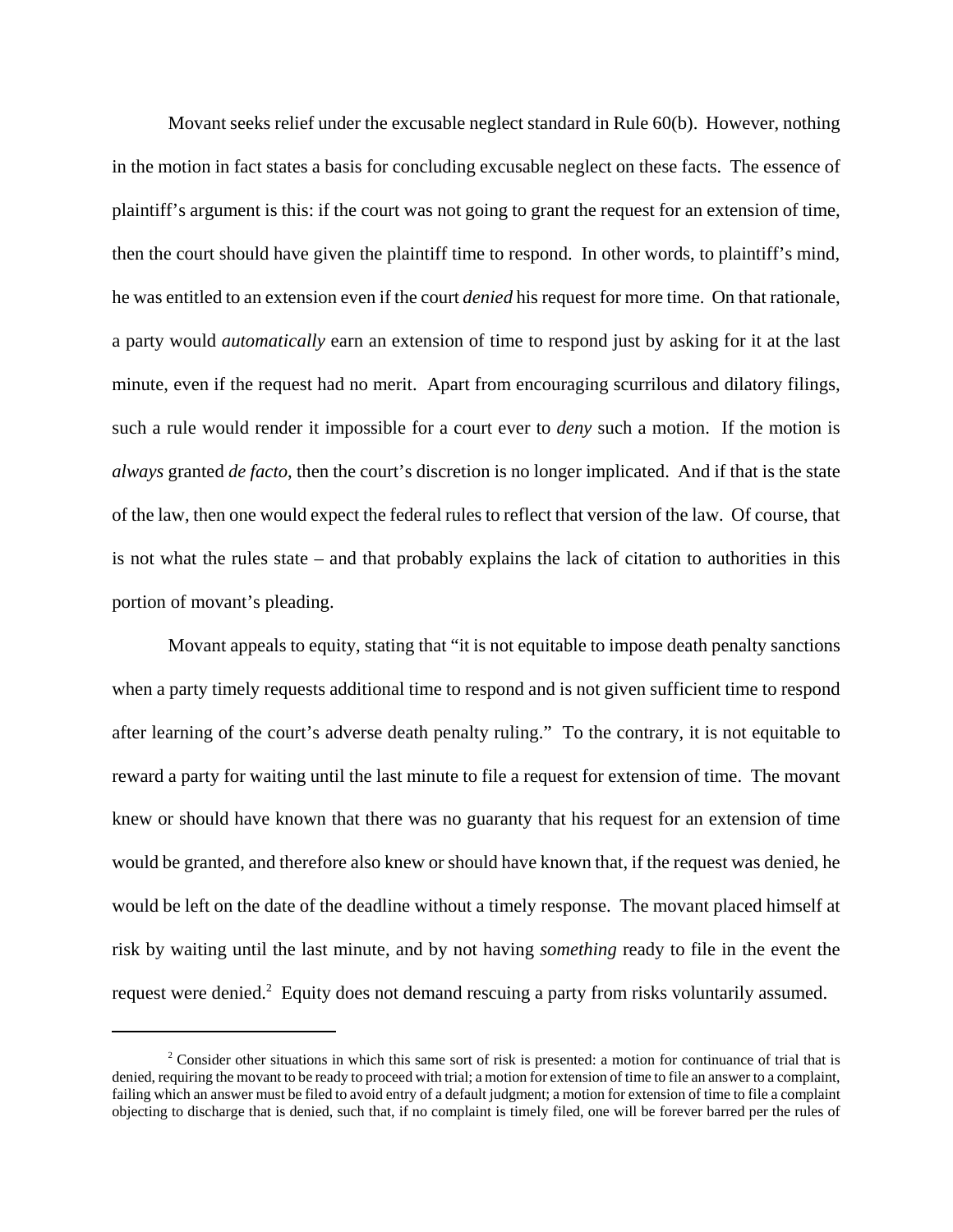Movant seeks relief under the excusable neglect standard in Rule 60(b). However, nothing in the motion in fact states a basis for concluding excusable neglect on these facts. The essence of plaintiff's argument is this: if the court was not going to grant the request for an extension of time, then the court should have given the plaintiff time to respond. In other words, to plaintiff's mind, he was entitled to an extension even if the court *denied* his request for more time. On that rationale, a party would *automatically* earn an extension of time to respond just by asking for it at the last minute, even if the request had no merit. Apart from encouraging scurrilous and dilatory filings, such a rule would render it impossible for a court ever to *deny* such a motion. If the motion is *always* granted *de facto*, then the court's discretion is no longer implicated. And if that is the state of the law, then one would expect the federal rules to reflect that version of the law. Of course, that is not what the rules state – and that probably explains the lack of citation to authorities in this portion of movant's pleading.

Movant appeals to equity, stating that "it is not equitable to impose death penalty sanctions when a party timely requests additional time to respond and is not given sufficient time to respond after learning of the court's adverse death penalty ruling." To the contrary, it is not equitable to reward a party for waiting until the last minute to file a request for extension of time. The movant knew or should have known that there was no guaranty that his request for an extension of time would be granted, and therefore also knew or should have known that, if the request was denied, he would be left on the date of the deadline without a timely response. The movant placed himself at risk by waiting until the last minute, and by not having *something* ready to file in the event the request were denied.<sup>2</sup> Equity does not demand rescuing a party from risks voluntarily assumed.

<sup>&</sup>lt;sup>2</sup> Consider other situations in which this same sort of risk is presented: a motion for continuance of trial that is denied, requiring the movant to be ready to proceed with trial; a motion for extension of time to file an answer to a complaint, failing which an answer must be filed to avoid entry of a default judgment; a motion for extension of time to file a complaint objecting to discharge that is denied, such that, if no complaint is timely filed, one will be forever barred per the rules of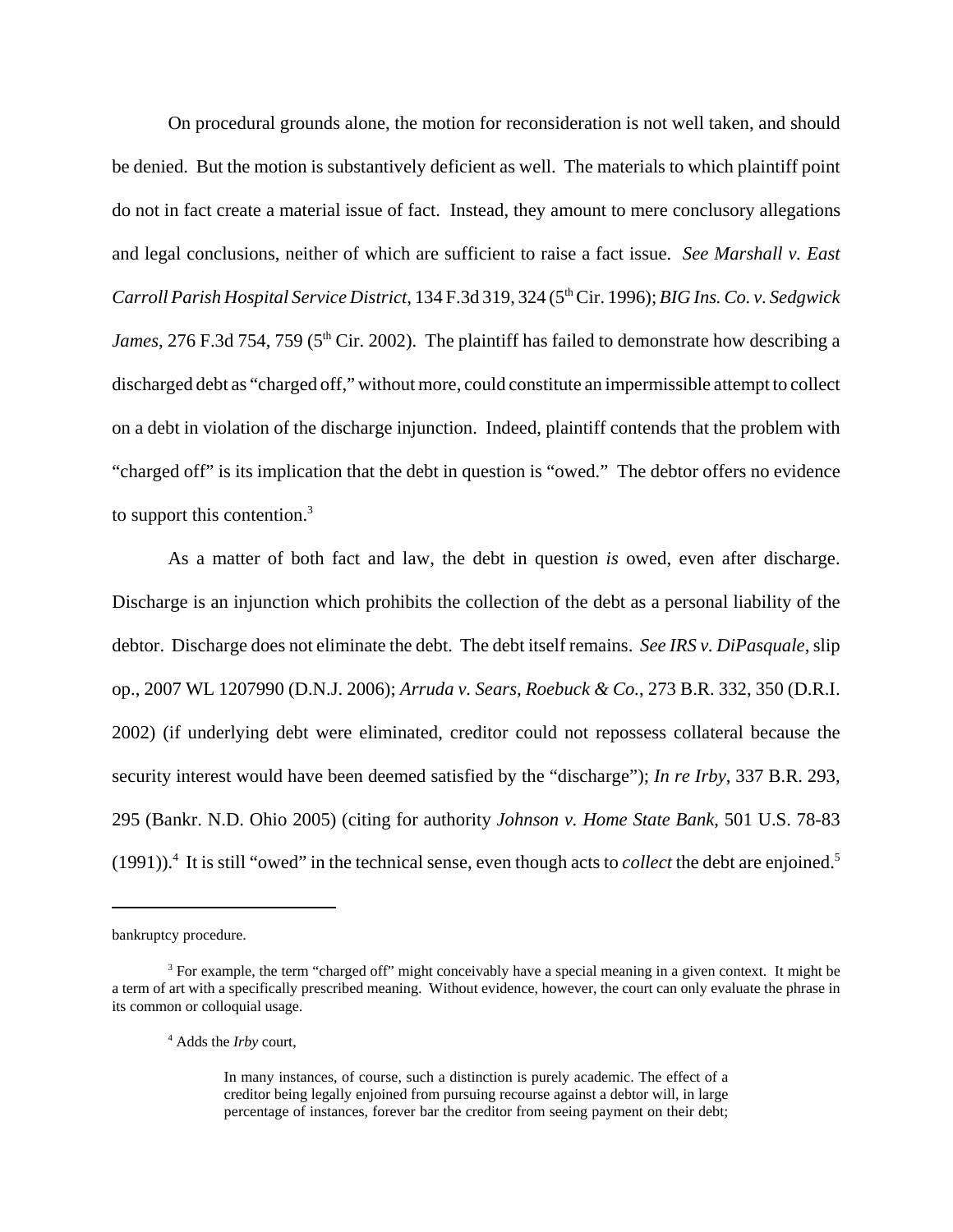On procedural grounds alone, the motion for reconsideration is not well taken, and should be denied. But the motion is substantively deficient as well. The materials to which plaintiff point do not in fact create a material issue of fact. Instead, they amount to mere conclusory allegations and legal conclusions, neither of which are sufficient to raise a fact issue. *See Marshall v. East Carroll Parish Hospital Service District*, 134 F.3d 319, 324 (5th Cir. 1996); *BIG Ins. Co. v. Sedgwick James*, 276 F.3d 754, 759 (5<sup>th</sup> Cir. 2002). The plaintiff has failed to demonstrate how describing a discharged debt as "charged off," without more, could constitute an impermissible attempt to collect on a debt in violation of the discharge injunction. Indeed, plaintiff contends that the problem with "charged off" is its implication that the debt in question is "owed." The debtor offers no evidence to support this contention.<sup>3</sup>

As a matter of both fact and law, the debt in question *is* owed, even after discharge. Discharge is an injunction which prohibits the collection of the debt as a personal liability of the debtor. Discharge does not eliminate the debt. The debt itself remains. *See IRS v. DiPasquale*, slip op., 2007 WL 1207990 (D.N.J. 2006); *Arruda v. Sears, Roebuck & Co.*, 273 B.R. 332, 350 (D.R.I. 2002) (if underlying debt were eliminated, creditor could not repossess collateral because the security interest would have been deemed satisfied by the "discharge"); *In re Irby*, 337 B.R. 293, 295 (Bankr. N.D. Ohio 2005) (citing for authority *Johnson v. Home State Bank*, 501 U.S. 78-83 (1991)).<sup>4</sup> It is still "owed" in the technical sense, even though acts to *collect* the debt are enjoined.<sup>5</sup>

bankruptcy procedure.

<sup>&</sup>lt;sup>3</sup> For example, the term "charged off" might conceivably have a special meaning in a given context. It might be a term of art with a specifically prescribed meaning. Without evidence, however, the court can only evaluate the phrase in its common or colloquial usage.

<sup>4</sup> Adds the *Irby* court,

In many instances, of course, such a distinction is purely academic. The effect of a creditor being legally enjoined from pursuing recourse against a debtor will, in large percentage of instances, forever bar the creditor from seeing payment on their debt;